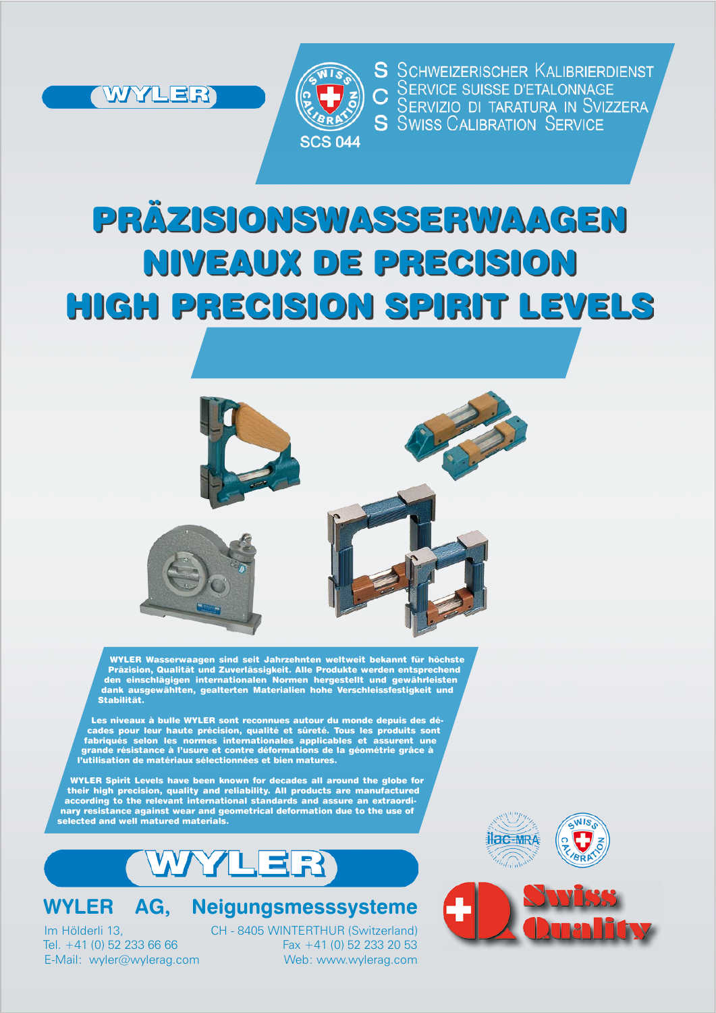



S SCHWEIZERISCHER KALIBRIERDIENST SERVICE SUISSE D'ETALONNAGE SERVIZIO DI TARATURA IN SVIZZERA **S** SWISS CALIBRATION SERVICE

# PRÄZISIONSWASSERWAAGEN NIVEAUX DE PRECISION HIGH PRECISION SPIRIT LEVELS



WYLER Wasserwaagen sind seit Jahrzehnten weltweit bekannt für höchste Präzision, Qualität und Zuverlässigkeit. Alle Produkte werden entsprechend den einschlägigen internationalen Normen hergestellt und gewährleisten dank ausgewählten, gealterten Materialien hohe Verschleissfestigkeit und Stabilität.

Les niveaux à bulle WYLER sont reconnues autour du monde depuis des décades pour leur haute précision, qualité et sûreté. Tous les produits sont fabriqués selon les normes internationales applicables et assurent une grande résistance à l'usure et contre déformations de la géométrie grâce à l'utilisation de matériaux sélectionnées et bien matures.

WYLER Spirit Levels have been known for decades all around the globe for their high precision, quality and reliability. All products are manufactured according to the relevant international standards and assure an extraordinary resistance against wear and geometrical deformation due to the use of selected and well matured materials.

ER

### **WYLER AG, Neigungsmesssysteme**

Im Hölderli 13, CH - 8405 WINTERTHUR (Switzerland) Tel.  $+41$  (0) 52 233 66 66 Fax +41 (0) 52 233 20 53 E-Mail: wyler@wylerag.com Web: www.wylerag.com



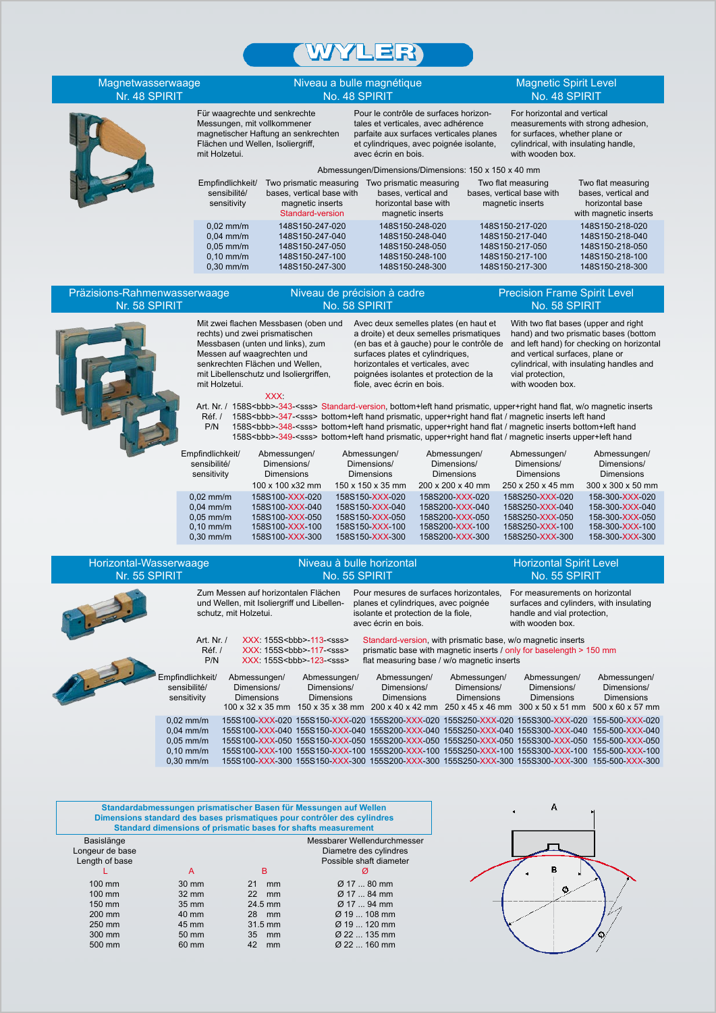

| Magnetwasserwaage<br>Nr. 48 SPIRIT                                      |                                                                                                                    |                                                                                                                           | Niveau a bulle magnétique<br>No. 48 SPIRIT                                                                       |                                                                                                                                                                        |                                                                                                                  | <b>Magnetic Spirit Level</b><br>No. 48 SPIRIT                                                                                                                                                                                                                                                                                                                                                                                                                                                               |  |
|-------------------------------------------------------------------------|--------------------------------------------------------------------------------------------------------------------|---------------------------------------------------------------------------------------------------------------------------|------------------------------------------------------------------------------------------------------------------|------------------------------------------------------------------------------------------------------------------------------------------------------------------------|------------------------------------------------------------------------------------------------------------------|-------------------------------------------------------------------------------------------------------------------------------------------------------------------------------------------------------------------------------------------------------------------------------------------------------------------------------------------------------------------------------------------------------------------------------------------------------------------------------------------------------------|--|
|                                                                         | Für waagrechte und senkrechte<br>Messungen, mit vollkommener<br>Flächen und Wellen, Isoliergriff,<br>mit Holzetui. | magnetischer Haftung an senkrechten                                                                                       | avec écrin en bois.                                                                                              | Pour le contrôle de surfaces horizon-<br>tales et verticales, avec adhérence<br>parfaite aux surfaces verticales planes<br>et cylindriques, avec poignée isolante,     |                                                                                                                  | For horizontal and vertical<br>measurements with strong adhesion,<br>for surfaces, whether plane or<br>cylindrical, with insulating handle,<br>with wooden box.                                                                                                                                                                                                                                                                                                                                             |  |
|                                                                         |                                                                                                                    |                                                                                                                           |                                                                                                                  |                                                                                                                                                                        | Abmessungen/Dimensions/Dimensions: 150 x 150 x 40 mm                                                             |                                                                                                                                                                                                                                                                                                                                                                                                                                                                                                             |  |
|                                                                         | Empfindlichkeit/<br>sensibilité/<br>sensitivity                                                                    | Two prismatic measuring Two prismatic measuring<br>bases, vertical base with<br>magnetic inserts<br>Standard-version      | bases, vertical and<br>horizontal base with<br>magnetic inserts                                                  |                                                                                                                                                                        | Two flat measuring<br>bases, vertical base with<br>magnetic inserts                                              | Two flat measuring<br>bases, vertical and<br>horizontal base<br>with magnetic inserts                                                                                                                                                                                                                                                                                                                                                                                                                       |  |
|                                                                         | $0.02$ mm/m<br>$0.04$ mm/m<br>$0.05$ mm/m<br>$0,10$ mm/m<br>$0,30$ mm/m                                            | 148S150-247-020<br>148S150-247-040<br>148S150-247-050<br>148S150-247-100<br>148S150-247-300                               |                                                                                                                  | 148S150-248-020<br>148S150-248-040<br>148S150-248-050<br>148S150-248-100<br>148S150-248-300                                                                            | 148S150-217-020<br>148S150-217-040<br>148S150-217-050<br>148S150-217-100<br>148S150-217-300                      | 148S150-218-020<br>148S150-218-040<br>148S150-218-050<br>148S150-218-100<br>148S150-218-300                                                                                                                                                                                                                                                                                                                                                                                                                 |  |
| Präzisions-Rahmenwasserwaage<br>Nr. 58 SPIRIT                           |                                                                                                                    |                                                                                                                           | Niveau de précision à cadre<br>No. 58 SPIRIT                                                                     |                                                                                                                                                                        |                                                                                                                  | <b>Precision Frame Spirit Level</b><br>No. 58 SPIRIT                                                                                                                                                                                                                                                                                                                                                                                                                                                        |  |
|                                                                         | rechts) und zwei prismatischen<br>Messen auf waagrechten und<br>senkrechten Flächen und Wellen,<br>mit Holzetui.   | Mit zwei flachen Messbasen (oben und<br>Messbasen (unten und links), zum<br>mit Libellenschutz und Isoliergriffen,<br>XXX | surfaces plates et cylindriques,<br>horizontales et verticales, avec<br>fiole, avec écrin en bois.               | Avec deux semelles plates (en haut et<br>a droite) et deux semelles prismatiques<br>(en bas et à gauche) pour le contrôle de<br>poignées isolantes et protection de la | vial protection,                                                                                                 | With two flat bases (upper and right<br>hand) and two prismatic bases (bottom<br>and left hand) for checking on horizontal<br>and vertical surfaces, plane or<br>cylindrical, with insulating handles and<br>with wooden box.<br>Art. Nr. / 158S <bbb>-343-<sss> Standard-version, bottom+left hand prismatic, upper+right hand flat, w/o magnetic inserts</sss></bbb>                                                                                                                                      |  |
|                                                                         | Réf. /<br>P/N                                                                                                      | 158S <bbb>-347-<sss> bottom+left hand prismatic, upper+right hand flat / magnetic inserts left hand</sss></bbb>           |                                                                                                                  |                                                                                                                                                                        |                                                                                                                  | 158S <bbb>-348-<sss> bottom+left hand prismatic, upper+right hand flat / magnetic inserts bottom+left hand<br/>158S<bbb>-349-<sss> bottom+left hand prismatic, upper+right hand flat / magnetic inserts upper+left hand</sss></bbb></sss></bbb>                                                                                                                                                                                                                                                             |  |
|                                                                         | Empfindlichkeit/<br>sensibilité/<br>sensitivity                                                                    | Abmessungen/<br>Dimensions/<br><b>Dimensions</b>                                                                          | Abmessungen/<br>Dimensions/<br><b>Dimensions</b>                                                                 | Abmessungen/<br>Dimensions/<br><b>Dimensions</b>                                                                                                                       | Abmessungen/<br>Dimensions/<br><b>Dimensions</b>                                                                 | Abmessungen/<br>Dimensions/<br><b>Dimensions</b>                                                                                                                                                                                                                                                                                                                                                                                                                                                            |  |
|                                                                         | $0.02$ mm/m<br>$0.04$ mm/m<br>$0.05$ mm/m<br>$0,10$ mm/m<br>$0,30$ mm/m                                            | 100 x 100 x32 mm<br>158S100-XXX-020<br>158S100-XXX-040<br>158S100-XXX-050<br>158S100-XXX-100<br>158S100-XXX-300           | 150 x 150 x 35 mm<br>158S150-XXX-020<br>158S150-XXX-040<br>158S150-XXX-050<br>158S150-XXX-100<br>158S150-XXX-300 | 200 x 200 x 40 mm<br>158S200-XXX-020<br>158S200-XXX-040<br>158S200-XXX-050<br>158S200-XXX-100<br>158S200-XXX-300                                                       | 250 x 250 x 45 mm<br>158S250-XXX-020<br>158S250-XXX-040<br>158S250-XXX-050<br>158S250-XXX-100<br>158S250-XXX-300 | 300 x 300 x 50 mm<br>158-300-XXX-020<br>158-300-XXX-040<br>158-300-XXX-050<br>158-300-XXX-100<br>158-300-XXX-300                                                                                                                                                                                                                                                                                                                                                                                            |  |
| Horizontal-Wasserwaage<br>Nr. 55 SPIRIT                                 |                                                                                                                    |                                                                                                                           | Niveau à bulle horizontal<br>No. 55 SPIRIT                                                                       |                                                                                                                                                                        |                                                                                                                  | <b>Horizontal Spirit Level</b><br>No. 55 SPIRIT                                                                                                                                                                                                                                                                                                                                                                                                                                                             |  |
|                                                                         | schutz, mit Holzetui.                                                                                              | Zum Messen auf horizontalen Flächen<br>und Wellen, mit Isoliergriff und Libellen-                                         | planes et cylindriques, avec poignée<br>isolante et protection de la fiole,<br>avec écrin en bois.               |                                                                                                                                                                        |                                                                                                                  | Pour mesures de surfaces horizontales, For measurements on horizontal<br>surfaces and cylinders, with insulating<br>handle and vial protection,<br>with wooden box.                                                                                                                                                                                                                                                                                                                                         |  |
|                                                                         | Art. Nr. /<br>Réf. /<br>P/N                                                                                        | XXX: 155S <bbb>-113-<sss><br/>XXX: 155S<bbb>-117-<sss><br/>XXX: 155S<bb>-123-<sss></sss></bb></sss></bbb></sss></bbb>     |                                                                                                                  | flat measuring base / w/o magnetic inserts                                                                                                                             | Standard-version, with prismatic base, w/o magnetic inserts                                                      | prismatic base with magnetic inserts / only for baselength > 150 mm                                                                                                                                                                                                                                                                                                                                                                                                                                         |  |
| 2.3.<br>Empfindlichkeit/<br>sensibilité/<br>sensitivity                 | Abmessungen/<br>Dimensions/<br><b>Dimensions</b>                                                                   | Abmessungen/<br>Dimensions/<br><b>Dimensions</b>                                                                          | Abmessungen/<br>Dimensions/<br><b>Dimensions</b>                                                                 |                                                                                                                                                                        | Abmessungen/<br>Dimensions/<br><b>Dimensions</b>                                                                 | Abmessungen/<br>Abmessungen/<br>Dimensions/<br>Dimensions/<br><b>Dimensions</b><br><b>Dimensions</b><br>100 x 32 x 35 mm 150 x 35 x 38 mm 200 x 40 x 42 mm 250 x 45 x 46 mm 300 x 50 x 51 mm 500 x 60 x 57 mm                                                                                                                                                                                                                                                                                               |  |
| $0,02$ mm/m<br>$0,04$ mm/m<br>$0,05$ mm/m<br>$0,10$ mm/m<br>$0,30$ mm/m |                                                                                                                    |                                                                                                                           |                                                                                                                  |                                                                                                                                                                        |                                                                                                                  | 155S100-XXX-020 155S150-XXX-020 155S200-XXX-020 155S250-XXX-020 155S300-XXX-020 155-500-XXX-020<br>155S100-XXX-040 155S150-XXX-040 155S200-XXX-040 155S250-XXX-040 155S300-XXX-040 155-500-XXX-040<br>155S100-XXX-050 155S150-XXX-050 155S200-XXX-050 155S250-XXX-050 155S300-XXX-050 155-500-XXX-050<br>155S100-XXX-100 155S150-XXX-100 155S200-XXX-100 155S250-XXX-100 155S300-XXX-100 155-500-XXX-100<br>155S100-XXX-300 155S150-XXX-300 155S200-XXX-300 155S250-XXX-300 155S300-XXX-300 155-500-XXX-300 |  |

| Standardabmessungen prismatischer Basen für Messungen auf Wellen<br>Dimensions standard des bases prismatiques pour contrôler des cylindres<br>Standard dimensions of prismatic bases for shafts measurement |                 |          |                             |  |  |  |  |
|--------------------------------------------------------------------------------------------------------------------------------------------------------------------------------------------------------------|-----------------|----------|-----------------------------|--|--|--|--|
| Basislänge                                                                                                                                                                                                   |                 |          | Messbarer Wellendurchmesser |  |  |  |  |
| Longeur de base                                                                                                                                                                                              |                 |          | Diametre des cylindres      |  |  |  |  |
| Length of base                                                                                                                                                                                               |                 |          | Possible shaft diameter     |  |  |  |  |
|                                                                                                                                                                                                              | A               | в        | Ø                           |  |  |  |  |
| $100 \text{ mm}$                                                                                                                                                                                             | $30 \text{ mm}$ | 21<br>mm | Ø 17  80 mm                 |  |  |  |  |
| $100 \text{ mm}$                                                                                                                                                                                             | $32 \text{ mm}$ | 22<br>mm | $\varnothing$ 17  84 mm     |  |  |  |  |
| 150 mm                                                                                                                                                                                                       | 35 mm           | 24.5 mm  | $\varnothing$ 17  94 mm     |  |  |  |  |
| 200 mm                                                                                                                                                                                                       | 40 mm           | 28<br>mm | $\varnothing$ 19  108 mm    |  |  |  |  |
| 250 mm                                                                                                                                                                                                       | 45 mm           | 31.5 mm  | $\varnothing$ 19  120 mm    |  |  |  |  |
| 300 mm                                                                                                                                                                                                       | $50 \text{ mm}$ | 35<br>mm | Ø 22  135 mm                |  |  |  |  |
| 500 mm                                                                                                                                                                                                       | 60 mm           | 42<br>mm | $\varnothing$ 22  160 mm    |  |  |  |  |

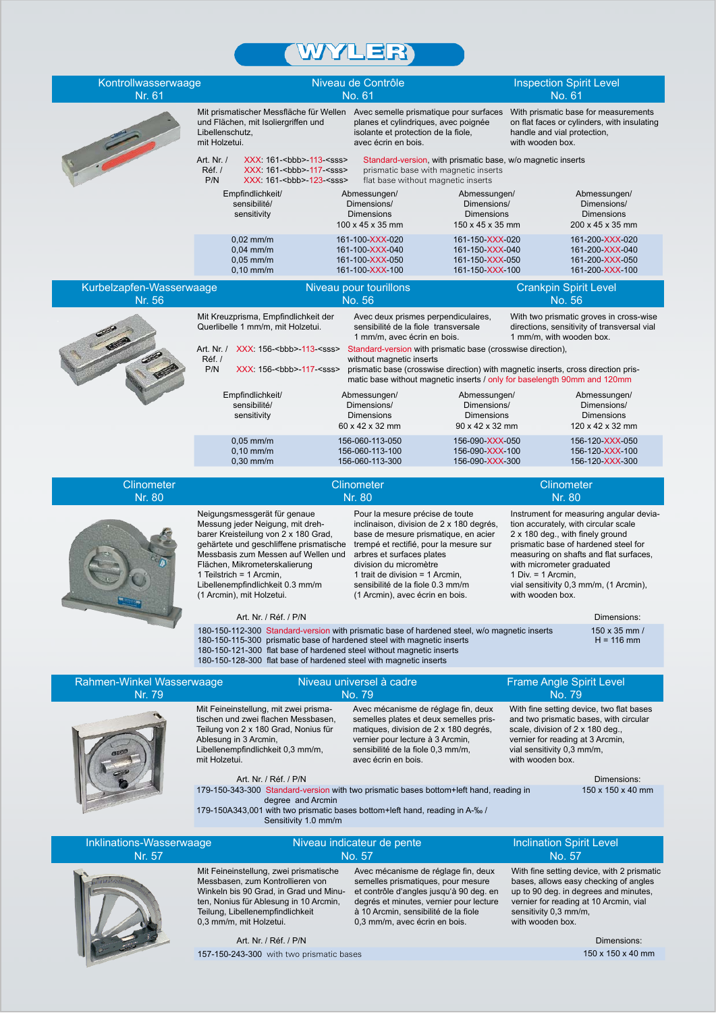## **WYLER**

| Kontrollwasserwaage<br>Nr. 61       |                                                                                                                                                                                                                                                                                                                          | Niveau de Contrôle<br>No. 61                                                                                                                                                                                                                                                                                                     |                                                                                                     | <b>Inspection Spirit Level</b><br>No. 61                                                                                                                                                                                                                                                                                 |
|-------------------------------------|--------------------------------------------------------------------------------------------------------------------------------------------------------------------------------------------------------------------------------------------------------------------------------------------------------------------------|----------------------------------------------------------------------------------------------------------------------------------------------------------------------------------------------------------------------------------------------------------------------------------------------------------------------------------|-----------------------------------------------------------------------------------------------------|--------------------------------------------------------------------------------------------------------------------------------------------------------------------------------------------------------------------------------------------------------------------------------------------------------------------------|
|                                     | Mit prismatischer Messfläche für Wellen Avec semelle prismatique pour surfaces<br>und Flächen, mit Isoliergriffen und<br>Libellenschutz,<br>mit Holzetui.                                                                                                                                                                | planes et cylindriques, avec poignée<br>isolante et protection de la fiole,<br>avec écrin en bois.                                                                                                                                                                                                                               |                                                                                                     | With prismatic base for measurements<br>on flat faces or cylinders, with insulating<br>handle and vial protection,<br>with wooden box.                                                                                                                                                                                   |
|                                     | Art. Nr. /<br>XXX: 161- <bbb>-113-<sss><br/>Réf. /<br/>XXX: 161-<br/>bbb&gt;-117-<sss><br/>P/N<br/>XXX: 161-<br>bbb&gt;-123-<sss></sss></br></sss></sss></bbb>                                                                                                                                                           | flat base without magnetic inserts                                                                                                                                                                                                                                                                                               | Standard-version, with prismatic base, w/o magnetic inserts<br>prismatic base with magnetic inserts |                                                                                                                                                                                                                                                                                                                          |
|                                     | Empfindlichkeit/<br>sensibilité/<br>sensitivity                                                                                                                                                                                                                                                                          | Abmessungen/<br>Dimensions/<br><b>Dimensions</b><br>$100 \times 45 \times 35$ mm                                                                                                                                                                                                                                                 | Abmessungen/<br>Dimensions/<br><b>Dimensions</b><br>$150 \times 45 \times 35$ mm                    | Abmessungen/<br>Dimensions/<br><b>Dimensions</b><br>200 x 45 x 35 mm                                                                                                                                                                                                                                                     |
|                                     | $0.02$ mm/m<br>$0.04$ mm/m<br>$0.05$ mm/m<br>$0,10$ mm/m                                                                                                                                                                                                                                                                 | 161-100-XXX-020<br>161-100-XXX-040<br>161-100-XXX-050<br>161-100-XXX-100                                                                                                                                                                                                                                                         | 161-150-XXX-020<br>161-150-XXX-040<br>161-150-XXX-050<br>161-150-XXX-100                            | 161-200-XXX-020<br>161-200-XXX-040<br>161-200-XXX-050<br>161-200-XXX-100                                                                                                                                                                                                                                                 |
| Kurbelzapfen-Wasserwaage<br>Nr. 56  |                                                                                                                                                                                                                                                                                                                          | Niveau pour tourillons<br>No. 56                                                                                                                                                                                                                                                                                                 |                                                                                                     | <b>Crankpin Spirit Level</b><br>No. 56                                                                                                                                                                                                                                                                                   |
|                                     | Mit Kreuzprisma, Empfindlichkeit der<br>Querlibelle 1 mm/m, mit Holzetui.<br>Art. Nr. / XXX: 156- <bbb>-113-<sss><br/>Réf./<br/>P/N<br/>XXX: 156-<bbb>-117-<sss></sss></bbb></sss></bbb>                                                                                                                                 | Avec deux prismes perpendiculaires,<br>sensibilité de la fiole transversale<br>1 mm/m, avec écrin en bois.<br>without magnetic inserts                                                                                                                                                                                           | Standard-version with prismatic base (crosswise direction),                                         | With two prismatic groves in cross-wise<br>directions, sensitivity of transversal vial<br>1 mm/m, with wooden box.<br>prismatic base (crosswise direction) with magnetic inserts, cross direction pris-                                                                                                                  |
|                                     | Empfindlichkeit/<br>sensibilité/<br>sensitivity                                                                                                                                                                                                                                                                          | Abmessungen/<br>Dimensions/<br><b>Dimensions</b><br>60 x 42 x 32 mm                                                                                                                                                                                                                                                              | Abmessungen/<br>Dimensions/<br><b>Dimensions</b><br>90 x 42 x 32 mm                                 | matic base without magnetic inserts / only for baselength 90mm and 120mm<br>Abmessungen/<br>Dimensions/<br><b>Dimensions</b><br>120 x 42 x 32 mm                                                                                                                                                                         |
|                                     | $0.05$ mm/m<br>$0,10$ mm/m<br>$0,30$ mm/m                                                                                                                                                                                                                                                                                | 156-060-113-050<br>156-060-113-100<br>156-060-113-300                                                                                                                                                                                                                                                                            | 156-090-XXX-050<br>156-090-XXX-100<br>156-090-XXX-300                                               | 156-120-XXX-050<br>156-120-XXX-100<br>156-120-XXX-300                                                                                                                                                                                                                                                                    |
| Clinometer<br>Nr. 80                |                                                                                                                                                                                                                                                                                                                          | Clinometer<br>Nr. 80                                                                                                                                                                                                                                                                                                             |                                                                                                     | Clinometer<br>Nr. 80                                                                                                                                                                                                                                                                                                     |
|                                     | Neigungsmessgerät für genaue<br>Messung jeder Neigung, mit dreh-<br>barer Kreisteilung von 2 x 180 Grad,<br>gehärtete und geschliffene prismatische<br>Messbasis zum Messen auf Wellen und<br>Flächen, Mikrometerskalierung<br>1 Teilstrich = 1 Arcmin,<br>Libellenempfindlichkeit 0.3 mm/m<br>(1 Arcmin), mit Holzetui. | Pour la mesure précise de toute<br>inclinaison, division de 2 x 180 degrés,<br>base de mesure prismatique, en acier<br>trempé et rectifié, pour la mesure sur<br>arbres et surfaces plates<br>division du micromètre<br>1 trait de division = $1$ Arcmin.<br>sensibilité de la fiole 0.3 mm/m<br>(1 Arcmin), avec écrin en bois. |                                                                                                     | Instrument for measuring angular devia-<br>tion accurately, with circular scale<br>2 x 180 deg., with finely ground<br>prismatic base of hardened steel for<br>measuring on shafts and flat surfaces,<br>with micrometer graduated<br>1 Div. = $1$ Arcmin,<br>vial sensitivity 0,3 mm/m, (1 Arcmin),<br>with wooden box. |
|                                     | Art. Nr. / Réf. / P/N                                                                                                                                                                                                                                                                                                    |                                                                                                                                                                                                                                                                                                                                  |                                                                                                     | Dimensions:                                                                                                                                                                                                                                                                                                              |
|                                     | 180-150-112-300 Standard-version with prismatic base of hardened steel, w/o magnetic inserts<br>180-150-115-300 prismatic base of hardened steel with magnetic inserts<br>180-150-121-300 flat base of hardened steel without magnetic inserts<br>180-150-128-300 flat base of hardened steel with magnetic inserts      |                                                                                                                                                                                                                                                                                                                                  |                                                                                                     | 150 x 35 mm /<br>$H = 116$ mm                                                                                                                                                                                                                                                                                            |
| Rahmen-Winkel Wasserwaage<br>Nr. 79 |                                                                                                                                                                                                                                                                                                                          | Niveau universel à cadre<br>No. 79                                                                                                                                                                                                                                                                                               |                                                                                                     | <b>Frame Angle Spirit Level</b><br>No. 79                                                                                                                                                                                                                                                                                |
|                                     | Mit Feineinstellung, mit zwei prisma-<br>tischen und zwei flachen Messbasen,<br>Teilung von 2 x 180 Grad, Nonius für<br>Ablesung in 3 Arcmin,<br>Libellenempfindlichkeit 0,3 mm/m,<br>mit Holzetui.                                                                                                                      | Avec mécanisme de réglage fin, deux<br>semelles plates et deux semelles pris-<br>matiques, division de 2 x 180 degrés,<br>vernier pour lecture à 3 Arcmin,<br>sensibilité de la fiole 0,3 mm/m,<br>avec écrin en bois.                                                                                                           |                                                                                                     | With fine setting device, two flat bases<br>and two prismatic bases, with circular<br>scale, division of 2 x 180 deg.,<br>vernier for reading at 3 Arcmin,<br>vial sensitivity 0,3 mm/m,<br>with wooden box.                                                                                                             |
|                                     | Art. Nr. / Réf. / P/N<br>179-150-343-300 Standard-version with two prismatic bases bottom+left hand, reading in<br>degree and Arcmin<br>179-150A343,001 with two prismatic bases bottom+left hand, reading in A-% /<br>Sensitivity 1.0 mm/m                                                                              |                                                                                                                                                                                                                                                                                                                                  |                                                                                                     | Dimensions:<br>150 x 150 x 40 mm                                                                                                                                                                                                                                                                                         |
| Inklinations-Wasserwaage<br>Nr. 57  |                                                                                                                                                                                                                                                                                                                          | Niveau indicateur de pente<br>No. 57                                                                                                                                                                                                                                                                                             |                                                                                                     | <b>Inclination Spirit Level</b><br>No. 57                                                                                                                                                                                                                                                                                |
|                                     | Mit Feineinstellung, zwei prismatische<br>Messbasen, zum Kontrollieren von<br>Winkeln bis 90 Grad, in Grad und Minu-<br>ten, Nonius für Ablesung in 10 Arcmin,<br>Teilung, Libellenempfindlichkeit<br>0,3 mm/m, mit Holzetui.<br>Art. Nr. / Réf. / P/N                                                                   | Avec mécanisme de réglage fin, deux<br>semelles prismatiques, pour mesure<br>et contrôle d'angles jusqu'à 90 deg. en<br>degrés et minutes, vernier pour lecture<br>à 10 Arcmin, sensibilité de la fiole<br>0,3 mm/m, avec écrin en bois.                                                                                         |                                                                                                     | With fine setting device, with 2 prismatic<br>bases, allows easy checking of angles<br>up to 90 deg. in degrees and minutes,<br>vernier for reading at 10 Arcmin, vial<br>sensitivity 0,3 mm/m,<br>with wooden box.<br>Dimensions:                                                                                       |
|                                     | 157-150-243-300 with two prismatic bases                                                                                                                                                                                                                                                                                 |                                                                                                                                                                                                                                                                                                                                  |                                                                                                     | 150 x 150 x 40 mm                                                                                                                                                                                                                                                                                                        |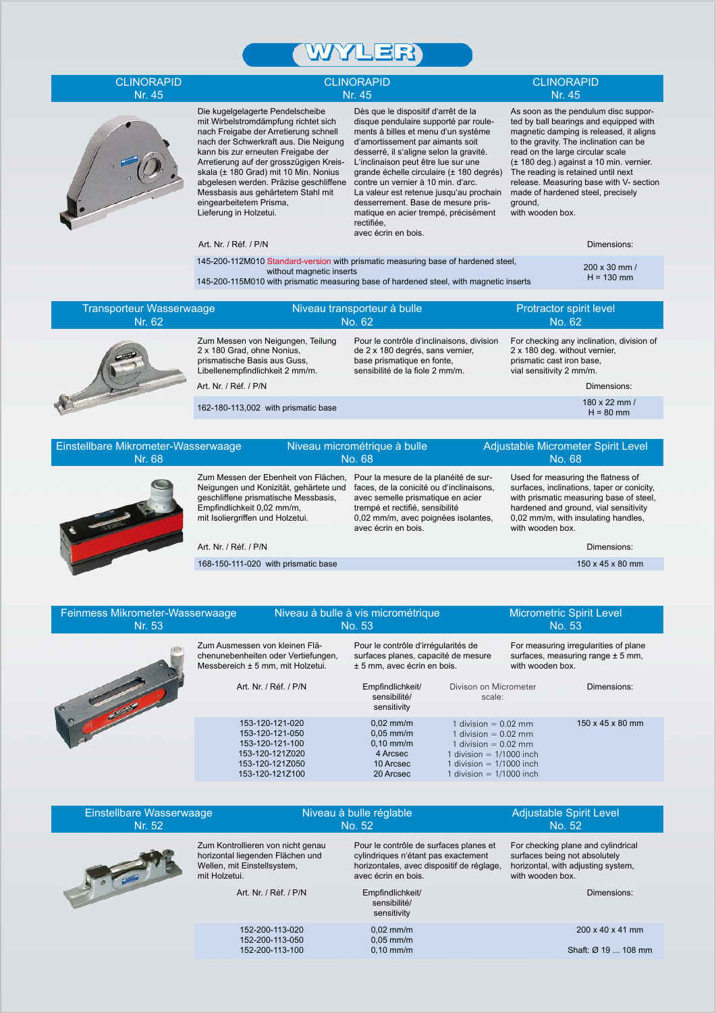

#### **CLINORAPID** Nr. 45

#### **CLINORAPID** Nr. 45



Die kugelgelagerte Pendelscheibe mit Wirbelstromdämpfung richtet sich nach Freigabe der Arretierung schnell nach der Schwerkraft aus. Die Neigung kann bis zur erneuten Freigabe der Arretierung auf der grosszügigen Kreisskala (± 180 Grad) mit 10 Min. Nonius abgelesen werden. Präzise geschliffene Messbasis aus gehärtetem Stahl mit eingearbeitetem Prisma, Lieferung in Holzetui.

Dès que le dispositif d'arrêt de la disque pendulaire supporté par roulements à billes et menu d'un système d'amortissement par aimants soit desserré, il s'aligne selon la gravité. L'inclinaison peut être lue sur une grande échelle circulaire (± 180 degrés) contre un vernier à 10 min. d'arc. La valeur est retenue jusqu'au prochain desserrement. Base de mesure prismatique en acier trempé, précisément rectifiée, avec écrin en bois.

| <b>CLINORAPID</b> |
|-------------------|
| Nr. 45            |

As soon as the pendulum disc supported by ball bearings and equipped with magnetic damping is released, it aligns to the gravity. The inclination can be read on the large circular scale (± 180 deg.) against a 10 min. vernier. The reading is retained until next release. Measuring base with V- section made of hardened steel, precisely ground,

with wooden box.

Art. Nr. / Réf. / P/N Dimensions:

| $H = 130$ mm<br>145-200-115M010 with prismatic measuring base of hardened steel, with magnetic inserts | 145-200-112M010 Standard-version with prismatic measuring base of hardened steel,<br>without magnetic inserts | $200 \times 30$ mm / |
|--------------------------------------------------------------------------------------------------------|---------------------------------------------------------------------------------------------------------------|----------------------|
|--------------------------------------------------------------------------------------------------------|---------------------------------------------------------------------------------------------------------------|----------------------|

| <b>Transporteur Wasserwaage</b><br>Nr. 62 |                                                                                                                                                             | Niveau transporteur à bulle<br>No. 62                                                                                                          | Protractor spirit level<br>No. 62                                                                                                                  |
|-------------------------------------------|-------------------------------------------------------------------------------------------------------------------------------------------------------------|------------------------------------------------------------------------------------------------------------------------------------------------|----------------------------------------------------------------------------------------------------------------------------------------------------|
|                                           | Zum Messen von Neigungen, Teilung<br>2 x 180 Grad, ohne Nonius,<br>prismatische Basis aus Guss.<br>Libellenempfindlichkeit 2 mm/m.<br>Art. Nr. / Réf. / P/N | Pour le contrôle d'inclinaisons, division<br>de 2 x 180 degrés, sans vernier,<br>base prismatique en fonte.<br>sensibilité de la fiole 2 mm/m. | For checking any inclination, division of<br>2 x 180 deg. without vernier,<br>prismatic cast iron base.<br>vial sensitivity 2 mm/m.<br>Dimensions: |
|                                           | 162-180-113,002 with prismatic base                                                                                                                         |                                                                                                                                                | 180 x 22 mm /<br>$H = 80$ mm                                                                                                                       |
|                                           |                                                                                                                                                             |                                                                                                                                                |                                                                                                                                                    |

| Einstellbare Mikrometer-Wasserwaage<br>Nr. 68 |                                                                                                                                                                                          | Niveau micrométrique à bulle<br>No. 68                                                                                                                                                                                  | Adjustable Micrometer Spirit Level<br>No. 68                                                                                                                                                                                    |
|-----------------------------------------------|------------------------------------------------------------------------------------------------------------------------------------------------------------------------------------------|-------------------------------------------------------------------------------------------------------------------------------------------------------------------------------------------------------------------------|---------------------------------------------------------------------------------------------------------------------------------------------------------------------------------------------------------------------------------|
|                                               | Zum Messen der Ebenheit von Flächen,<br>Neigungen und Konizität, gehärtete und<br>geschliffene prismatische Messbasis,<br>Empfindlichkeit 0,02 mm/m,<br>mit Isoliergriffen und Holzetui. | Pour la mesure de la planéité de sur-<br>faces, de la conicité ou d'inclinaisons,<br>avec semelle prismatique en acier<br>trempé et rectifié, sensibilité<br>0,02 mm/m, avec poignées isolantes,<br>avec écrin en bois. | Used for measuring the flatness of<br>surfaces, inclinations, taper or conicity,<br>with prismatic measuring base of steel,<br>hardened and ground, vial sensitivity<br>0,02 mm/m, with insulating handles,<br>with wooden box. |
|                                               | Art. Nr. / Réf. / P/N                                                                                                                                                                    |                                                                                                                                                                                                                         | Dimensions:                                                                                                                                                                                                                     |
|                                               | 168-150-111-020 with prismatic base                                                                                                                                                      |                                                                                                                                                                                                                         | $150 \times 45 \times 80$ mm                                                                                                                                                                                                    |

| Feinmess Mikrometer-Wasserwaage<br>Nr. 53 |                                                                                                                                     | Niveau à bulle à vis micrométrique<br>No. 53                                                                                                                 |                                                                                                                                                                      | <b>Micrometric Spirit Level</b><br>No. 53 |                                                                                           |
|-------------------------------------------|-------------------------------------------------------------------------------------------------------------------------------------|--------------------------------------------------------------------------------------------------------------------------------------------------------------|----------------------------------------------------------------------------------------------------------------------------------------------------------------------|-------------------------------------------|-------------------------------------------------------------------------------------------|
|                                           | Zum Ausmessen von kleinen Flä-<br>chenunebenheiten oder Vertiefungen,<br>Messbereich ± 5 mm, mit Holzetui.<br>Art. Nr. / Réf. / P/N | Pour le contrôle d'irrégularités de<br>surfaces planes, capacité de mesure<br>± 5 mm, avec écrin en bois.<br>Empfindlichkeit/<br>sensibilité/<br>sensitivity | Divison on Micrometer<br>scale:                                                                                                                                      | with wooden box.                          | For measuring irregularities of plane<br>surfaces, measuring range ± 5 mm,<br>Dimensions: |
|                                           | 153-120-121-020<br>153-120-121-050<br>153-120-121-100<br>153-120-121Z020<br>153-120-121Z050<br>153-120-121Z100                      | $0.02$ mm/m<br>$0.05$ mm/m<br>$0.10$ mm/m<br>4 Arcsec<br>10 Arcsec<br>20 Arcsec                                                                              | 1 division $= 0.02$ mm<br>1 division $= 0.02$ mm<br>1 division $= 0.02$ mm<br>1 division $= 1/1000$ inch<br>1 division $= 1/1000$ inch<br>1 division $= 1/1000$ inch |                                           | $150 \times 45 \times 80$ mm                                                              |

| Einstellbare Wasserwaage<br>Nr. 52 |                                                                                                                                                | Niveau à bulle réglable<br>No. 52                                                                                                                                                                    | Adjustable Spirit Level<br>No. 52                                                                                                            |
|------------------------------------|------------------------------------------------------------------------------------------------------------------------------------------------|------------------------------------------------------------------------------------------------------------------------------------------------------------------------------------------------------|----------------------------------------------------------------------------------------------------------------------------------------------|
|                                    | Zum Kontrollieren von nicht genau<br>horizontal liegenden Flächen und<br>Wellen, mit Einstellsystem,<br>mit Holzetui.<br>Art. Nr. / Réf. / P/N | Pour le contrôle de surfaces planes et<br>cylindriques n'étant pas exactement<br>horizontales, avec dispositif de réglage,<br>avec écrin en bois.<br>Empfindlichkeit/<br>sensibilité/<br>sensitivity | For checking plane and cylindrical<br>surfaces being not absolutely<br>horizontal, with adjusting system,<br>with wooden box.<br>Dimensions: |
|                                    | 152-200-113-020<br>152-200-113-050<br>152-200-113-100                                                                                          | $0.02$ mm/m<br>$0.05$ mm/m<br>$0.10$ mm/m                                                                                                                                                            | $200 \times 40 \times 41$ mm<br>Shaft: Ø 19  108 mm                                                                                          |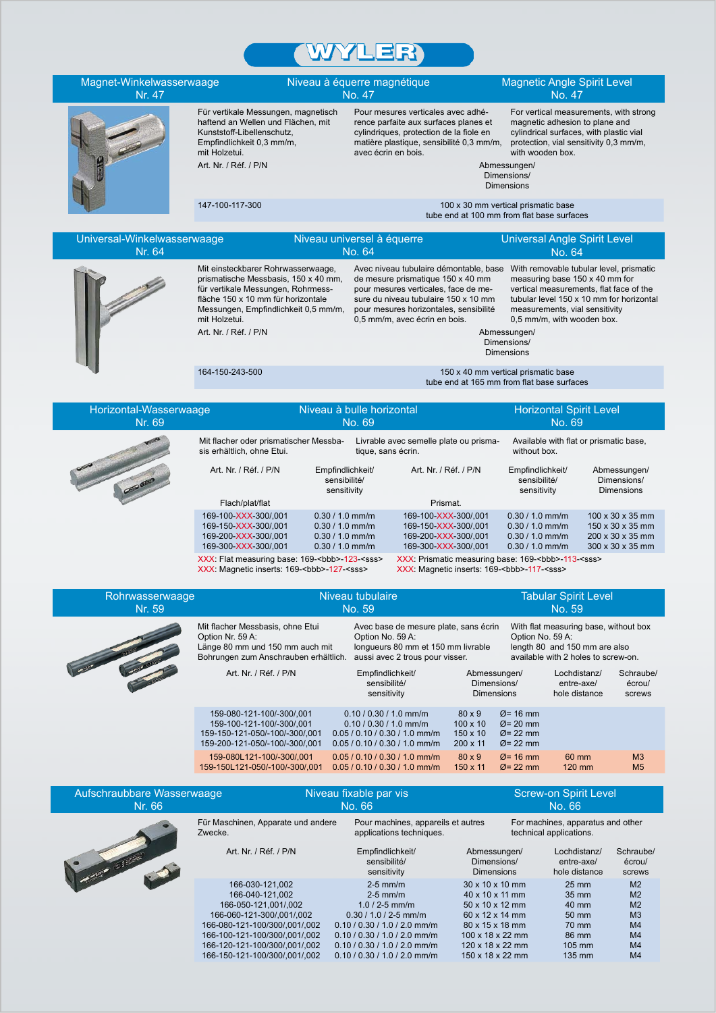



|                               | sensitivity                    |
|-------------------------------|--------------------------------|
| 166-030-121.002               | $2-5$ mm/m                     |
| 166-040-121.002               | $2-5$ mm/m                     |
| 166-050-121,001/,002          | $1.0 / 2 - 5$ mm/m             |
| 166-060-121-300/.001/.002     | $0.30 / 1.0 / 2 - 5$ mm/m      |
| 166-080-121-100/300/,001/,002 | 0.10 / 0.30 / 1.0 / 2.0 mm/m   |
| 166-100-121-100/300/.001/.002 | $0.10 / 0.30 / 1.0 / 2.0$ mm/m |
| 166-120-121-100/300/.001/.002 | $0.10 / 0.30 / 1.0 / 2.0$ mm/m |
| 166-150-121-100/300/,001/,002 | $0.10 / 0.30 / 1.0 / 2.0$ mm/m |

30 x 10 x 10 mm 40 x 10 x 11 mm 50 x 10 x 12 mm 60 x 12 x 14 mm 80 x 15 x 18 mm 100 x 18 x 22 mm 120 x 18 x 22 mm 150 x 18 x 22 mm

25 mm 35 mm 40 mm 50 mm 70 mm 86 mm 105 mm 135 mm M2 M2 M<sub>2</sub> M3 M4 M4 M<sub>4</sub> M4